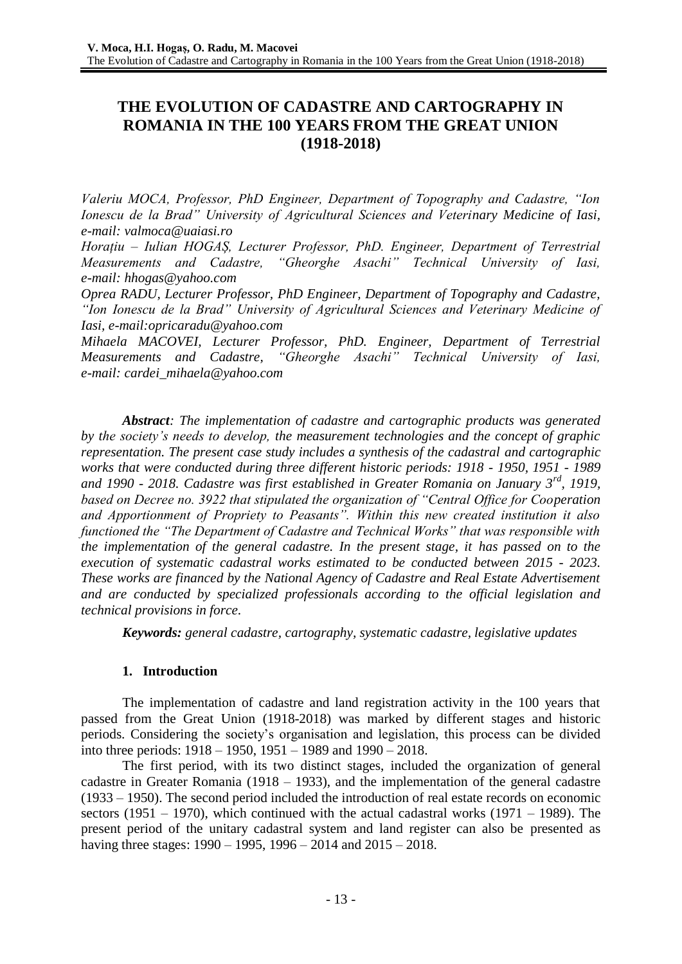# **THE EVOLUTION OF CADASTRE AND CARTOGRAPHY IN ROMANIA IN THE 100 YEARS FROM THE GREAT UNION (1918-2018)**

*Valeriu MOCA, Professor, PhD Engineer, Department of Topography and Cadastre, "Ion Ionescu de la Brad" University of Agricultural Sciences and Veterinary Medicine of Iasi, e-mail: [valmoca@uaiasi.ro](mailto:valmoca@uaiasi.ro)*

*Horațiu – Iulian HOGAȘ, Lecturer Professor, PhD. Engineer, Department of Terrestrial Measurements and Cadastre, "Gheorghe Asachi" Technical University of Iasi, e-mail: [hhogas@yahoo.com](mailto:hhogas@yahoo.com)*

*Oprea RADU, Lecturer Professor, PhD Engineer, Department of Topography and Cadastre, "Ion Ionescu de la Brad" University of Agricultural Sciences and Veterinary Medicine of Iasi, e-mail[:opricaradu@yahoo.com](mailto:opricaradu@yahoo.com)*

*Mihaela MACOVEI, Lecturer Professor, PhD. Engineer, Department of Terrestrial Measurements and Cadastre, "Gheorghe Asachi" Technical University of Iasi, e-mail: [cardei\\_mihaela@yahoo.com](mailto:cardei_mihaela@yahoo.com)*

*Abstract: The implementation of cadastre and cartographic products was generated by the society's needs to develop, the measurement technologies and the concept of graphic representation. The present case study includes a synthesis of the cadastral and cartographic works that were conducted during three different historic periods: 1918 - 1950, 1951 - 1989 and 1990 - 2018. Cadastre was first established in Greater Romania on January 3rd, 1919, based on Decree no. 3922 that stipulated the organization of "Central Office for Cooperation and Apportionment of Propriety to Peasants". Within this new created institution it also functioned the "The Department of Cadastre and Technical Works" that was responsible with the implementation of the general cadastre. In the present stage, it has passed on to the execution of systematic cadastral works estimated to be conducted between 2015 - 2023. These works are financed by the National Agency of Cadastre and Real Estate Advertisement and are conducted by specialized professionals according to the official legislation and technical provisions in force.*

*Keywords: general cadastre, cartography, systematic cadastre, legislative updates*

## **1. Introduction**

The implementation of cadastre and land registration activity in the 100 years that passed from the Great Union (1918-2018) was marked by different stages and historic periods. Considering the society's organisation and legislation, this process can be divided into three periods: 1918 – 1950, 1951 – 1989 and 1990 – 2018.

The first period, with its two distinct stages, included the organization of general cadastre in Greater Romania (1918 – 1933), and the implementation of the general cadastre (1933 – 1950). The second period included the introduction of real estate records on economic sectors (1951 – 1970), which continued with the actual cadastral works (1971 – 1989). The present period of the unitary cadastral system and land register can also be presented as having three stages: 1990 – 1995, 1996 – 2014 and 2015 – 2018.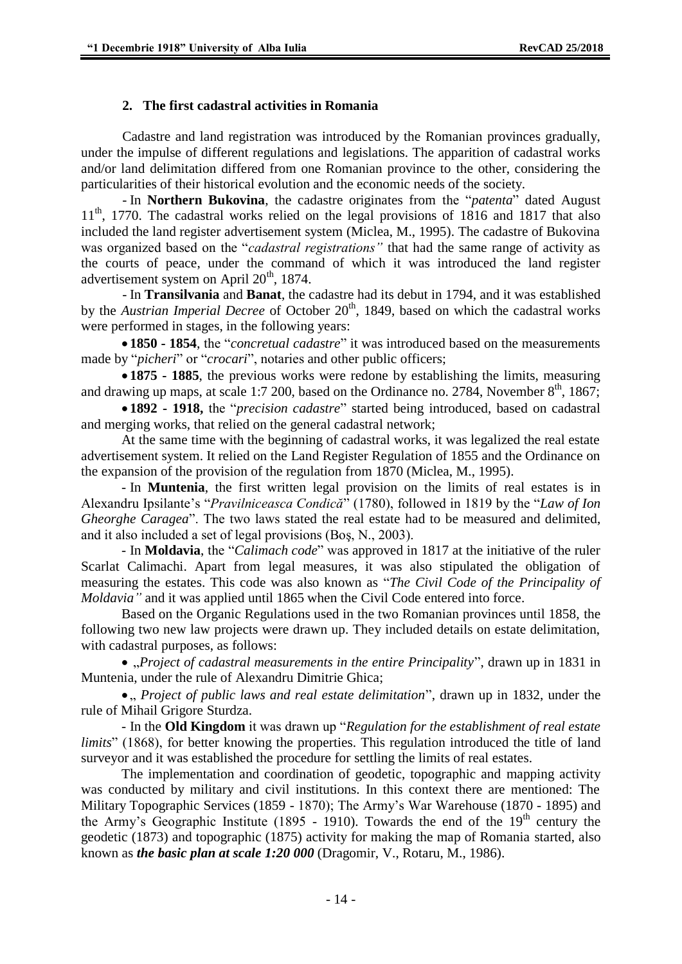#### **2. The first cadastral activities in Romania**

Cadastre and land registration was introduced by the Romanian provinces gradually, under the impulse of different regulations and legislations. The apparition of cadastral works and/or land delimitation differed from one Romanian province to the other, considering the particularities of their historical evolution and the economic needs of the society.

- In **Northern Bukovina**, the cadastre originates from the "*patenta*" dated August 11<sup>th</sup>, 1770. The cadastral works relied on the legal provisions of 1816 and 1817 that also included the land register advertisement system (Miclea, M., 1995). The cadastre of Bukovina was organized based on the "*cadastral registrations"* that had the same range of activity as the courts of peace, under the command of which it was introduced the land register advertisement system on April  $20<sup>th</sup>$ , 1874.

- In **Transilvania** and **Banat**, the cadastre had its debut in 1794, and it was established by the *Austrian Imperial Decree* of October 20<sup>th</sup>, 1849, based on which the cadastral works were performed in stages, in the following years:

 **1850 - 1854**, the "*concretual cadastre*" it was introduced based on the measurements made by "*picheri*" or "*crocari*", notaries and other public officers;

 **1875 - 1885**, the previous works were redone by establishing the limits, measuring and drawing up maps, at scale 1:7 200, based on the Ordinance no. 2784, November  $8<sup>th</sup>$ , 1867;

 **1892 - 1918,** the "*precision cadastre*" started being introduced, based on cadastral and merging works, that relied on the general cadastral network;

At the same time with the beginning of cadastral works, it was legalized the real estate advertisement system. It relied on the Land Register Regulation of 1855 and the Ordinance on the expansion of the provision of the regulation from 1870 (Miclea, M., 1995).

- In **Muntenia**, the first written legal provision on the limits of real estates is in Alexandru Ipsilante's "*Pravilniceasca Condică*" (1780), followed in 1819 by the "*Law of Ion Gheorghe Caragea*". The two laws stated the real estate had to be measured and delimited, and it also included a set of legal provisions (Boş, N., 2003).

- In **Moldavia**, the "*Calimach code*" was approved in 1817 at the initiative of the ruler Scarlat Calimachi. Apart from legal measures, it was also stipulated the obligation of measuring the estates. This code was also known as "*The Civil Code of the Principality of Moldavia"* and it was applied until 1865 when the Civil Code entered into force.

Based on the Organic Regulations used in the two Romanian provinces until 1858, the following two new law projects were drawn up. They included details on estate delimitation, with cadastral purposes, as follows:

 "*Project of cadastral measurements in the entire Principality*", drawn up in 1831 in Muntenia, under the rule of Alexandru Dimitrie Ghica;

• *Project of public laws and real estate delimitation*", drawn up in 1832, under the rule of Mihail Grigore Sturdza.

- In the **Old Kingdom** it was drawn up "*Regulation for the establishment of real estate limits*" (1868), for better knowing the properties. This regulation introduced the title of land surveyor and it was established the procedure for settling the limits of real estates.

The implementation and coordination of geodetic, topographic and mapping activity was conducted by military and civil institutions. In this context there are mentioned: The Military Topographic Services (1859 - 1870); The Army's War Warehouse (1870 - 1895) and the Army's Geographic Institute (1895 - 1910). Towards the end of the  $19<sup>th</sup>$  century the geodetic (1873) and topographic (1875) activity for making the map of Romania started, also known as *the basic plan at scale 1:20 000* (Dragomir, V., Rotaru, M., 1986).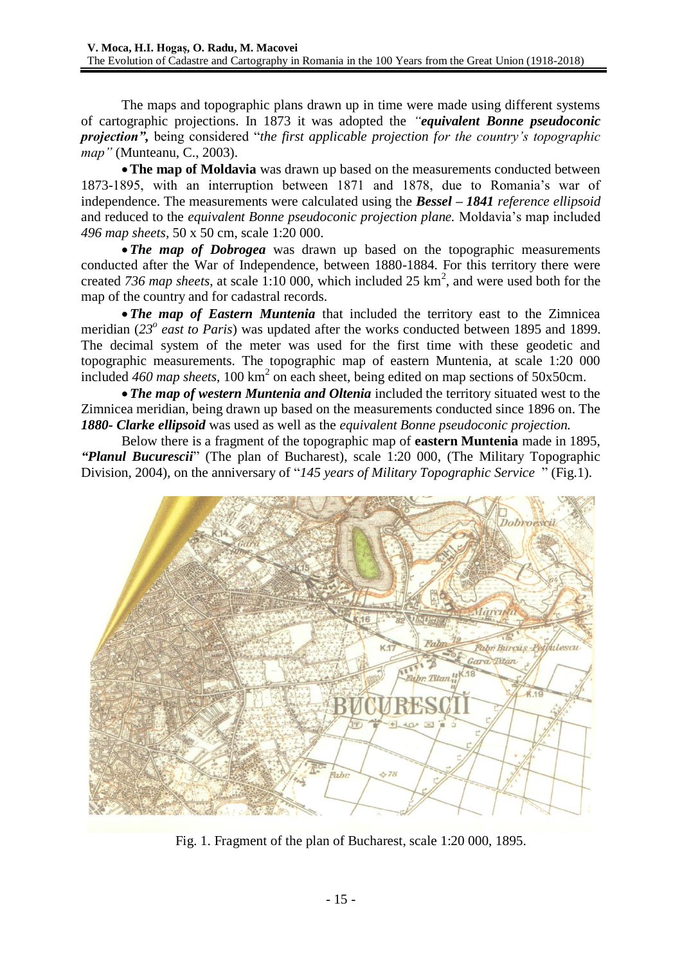The maps and topographic plans drawn up in time were made using different systems of cartographic projections. In 1873 it was adopted the *"equivalent Bonne pseudoconic projection",* being considered "*the first applicable projection for the country's topographic map"* (Munteanu, C., 2003).

**The map of Moldavia** was drawn up based on the measurements conducted between 1873-1895, with an interruption between 1871 and 1878, due to Romania's war of independence. The measurements were calculated using the *Bessel – 1841 reference ellipsoid* and reduced to the *equivalent Bonne pseudoconic projection plane.* Moldavia's map included *496 map sheets*, 50 x 50 cm, scale 1:20 000.

*The map of Dobrogea* was drawn up based on the topographic measurements conducted after the War of Independence, between 1880-1884. For this territory there were created 736 map sheets, at scale  $1:10000$ , which included 25 km<sup>2</sup>, and were used both for the map of the country and for cadastral records.

*The map of Eastern Muntenia* that included the territory east to the Zimnicea meridian (23<sup>°</sup> east to Paris) was updated after the works conducted between 1895 and 1899. The decimal system of the meter was used for the first time with these geodetic and topographic measurements. The topographic map of eastern Muntenia, at scale 1:20 000 included 460 map sheets, 100 km<sup>2</sup> on each sheet, being edited on map sections of 50x50cm.

*The map of western Muntenia and Oltenia* included the territory situated west to the Zimnicea meridian, being drawn up based on the measurements conducted since 1896 on. The *1880- Clarke ellipsoid* was used as well as the *equivalent Bonne pseudoconic projection.*

Below there is a fragment of the topographic map of **eastern Muntenia** made in 1895, *"Planul Bucurescii*" (The plan of Bucharest), scale 1:20 000, (The Military Topographic Division, 2004), on the anniversary of "*145 years of Military Topographic Service* " (Fig.1).



Fig. 1. Fragment of the plan of Bucharest, scale 1:20 000, 1895.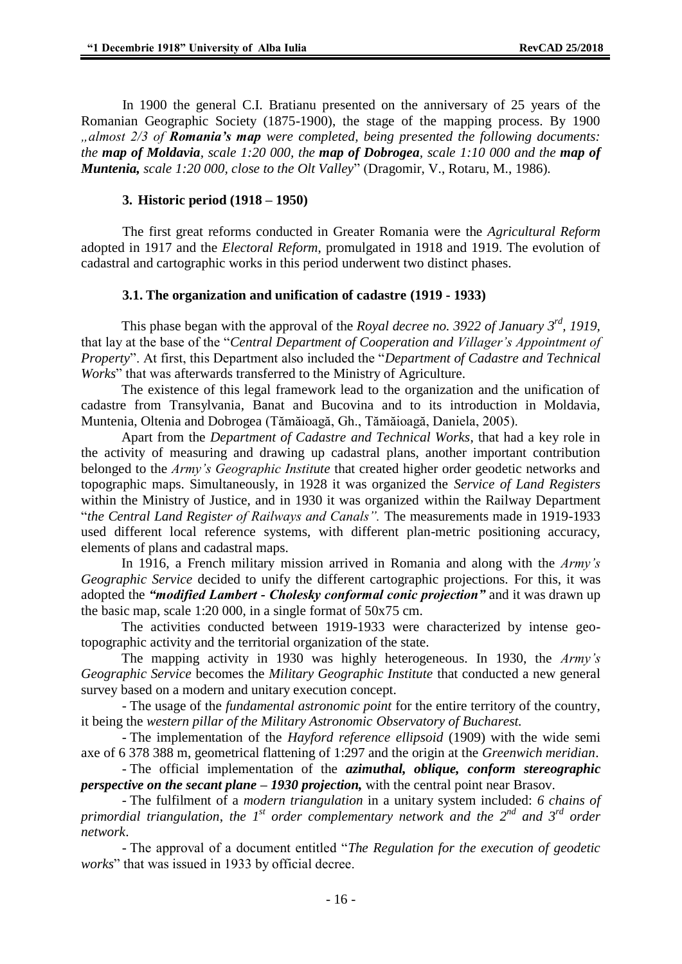In 1900 the general C.I. Bratianu presented on the anniversary of 25 years of the Romanian Geographic Society (1875-1900), the stage of the mapping process. By 1900 *"almost 2/3 of Romania's map were completed, being presented the following documents: the map of Moldavia, scale 1:20 000, the map of Dobrogea, scale 1:10 000 and the map of Muntenia, scale 1:20 000, close to the Olt Valley*" (Dragomir, V., Rotaru, M., 1986).

### **3. Historic period (1918 – 1950)**

The first great reforms conducted in Greater Romania were the *Agricultural Reform* adopted in 1917 and the *Electoral Reform*, promulgated in 1918 and 1919. The evolution of cadastral and cartographic works in this period underwent two distinct phases.

### **3.1. The organization and unification of cadastre (1919 - 1933)**

This phase began with the approval of the *Royal decree no. 3922 of January 3rd, 1919,* that lay at the base of the "*Central Department of Cooperation and Villager's Appointment of Property*". At first, this Department also included the "*Department of Cadastre and Technical Works*" that was afterwards transferred to the Ministry of Agriculture.

The existence of this legal framework lead to the organization and the unification of cadastre from Transylvania, Banat and Bucovina and to its introduction in Moldavia, Muntenia, Oltenia and Dobrogea (Tămăioagă, Gh., Tămăioagă, Daniela, 2005).

Apart from the *Department of Cadastre and Technical Works*, that had a key role in the activity of measuring and drawing up cadastral plans, another important contribution belonged to the *Army's Geographic Institute* that created higher order geodetic networks and topographic maps. Simultaneously, in 1928 it was organized the *Service of Land Registers* within the Ministry of Justice, and in 1930 it was organized within the Railway Department "*the Central Land Register of Railways and Canals".* The measurements made in 1919-1933 used different local reference systems, with different plan-metric positioning accuracy, elements of plans and cadastral maps.

In 1916, a French military mission arrived in Romania and along with the *Army's Geographic Service* decided to unify the different cartographic projections. For this, it was adopted the *"modified Lambert - Cholesky conformal conic projection"* and it was drawn up the basic map, scale 1:20 000, in a single format of 50x75 cm.

The activities conducted between 1919-1933 were characterized by intense geotopographic activity and the territorial organization of the state.

The mapping activity in 1930 was highly heterogeneous. In 1930, the *Army's Geographic Service* becomes the *Military Geographic Institute* that conducted a new general survey based on a modern and unitary execution concept.

- The usage of the *fundamental astronomic point* for the entire territory of the country, it being the *western pillar of the Military Astronomic Observatory of Bucharest.*

- The implementation of the *Hayford reference ellipsoid* (1909) with the wide semi axe of 6 378 388 m, geometrical flattening of 1:297 and the origin at the *Greenwich meridian*.

- The official implementation of the *azimuthal, oblique, conform stereographic perspective on the secant plane – 1930 projection,* with the central point near Brasov.

- The fulfilment of a *modern triangulation* in a unitary system included: *6 chains of primordial triangulation*, *the 1st order complementary network and the 2nd and 3rd order network*.

- The approval of a document entitled "*The Regulation for the execution of geodetic works*" that was issued in 1933 by official decree.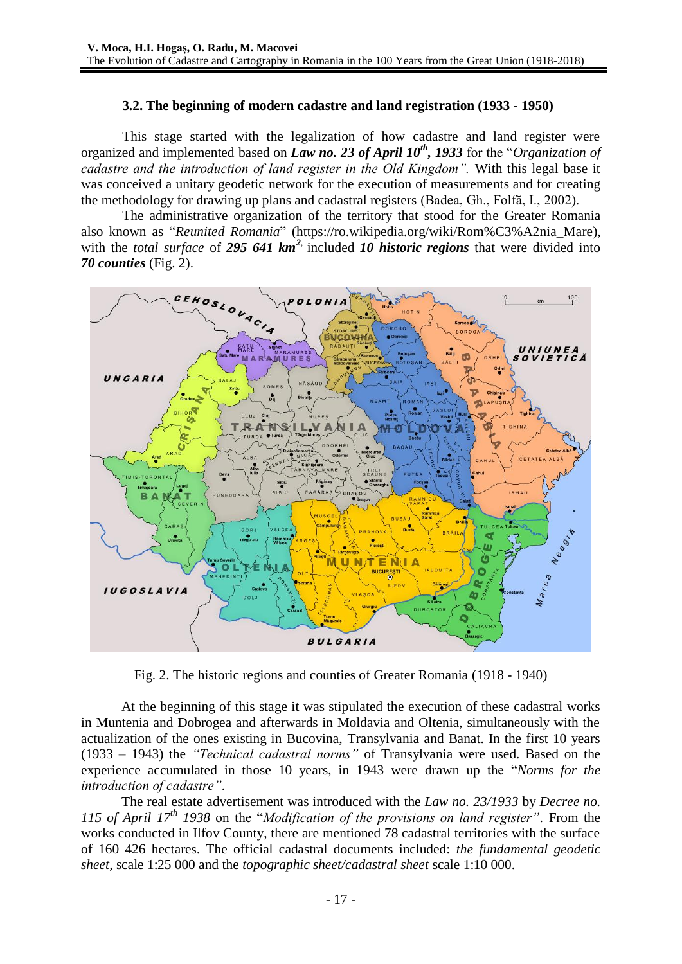### **3.2. The beginning of modern cadastre and land registration (1933 - 1950)**

This stage started with the legalization of how cadastre and land register were organized and implemented based on *Law no. 23 of April 10th, 1933* for the "*Organization of cadastre and the introduction of land register in the Old Kingdom".* With this legal base it was conceived a unitary geodetic network for the execution of measurements and for creating the methodology for drawing up plans and cadastral registers (Badea, Gh., Folfă, I., 2002).

The administrative organization of the territory that stood for the Greater Romania also known as "*Reunited Romania*" [\(https://ro.wikipedia.org/wiki/Rom%C3%A2nia\\_Mare\)](https://ro.wikipedia.org/wiki/Rom%C3%A2nia_Mare), with the *total surface* of 295 641 km<sup>2</sup>, included 10 historic regions that were divided into *70 counties* (Fig. 2).



Fig. 2. The historic regions and counties of Greater Romania (1918 - 1940)

At the beginning of this stage it was stipulated the execution of these cadastral works in Muntenia and Dobrogea and afterwards in Moldavia and Oltenia, simultaneously with the actualization of the ones existing in Bucovina, Transylvania and Banat. In the first 10 years (1933 – 1943) the *"Technical cadastral norms"* of Transylvania were used. Based on the experience accumulated in those 10 years, in 1943 were drawn up the "*Norms for the introduction of cadastre"*.

The real estate advertisement was introduced with the *Law no. 23/1933* by *Decree no. 115 of April 17th 1938* on the "*Modification of the provisions on land register"*. From the works conducted in Ilfov County, there are mentioned 78 cadastral territories with the surface of 160 426 hectares. The official cadastral documents included: *the fundamental geodetic sheet,* scale 1:25 000 and the *topographic sheet/cadastral sheet* scale 1:10 000.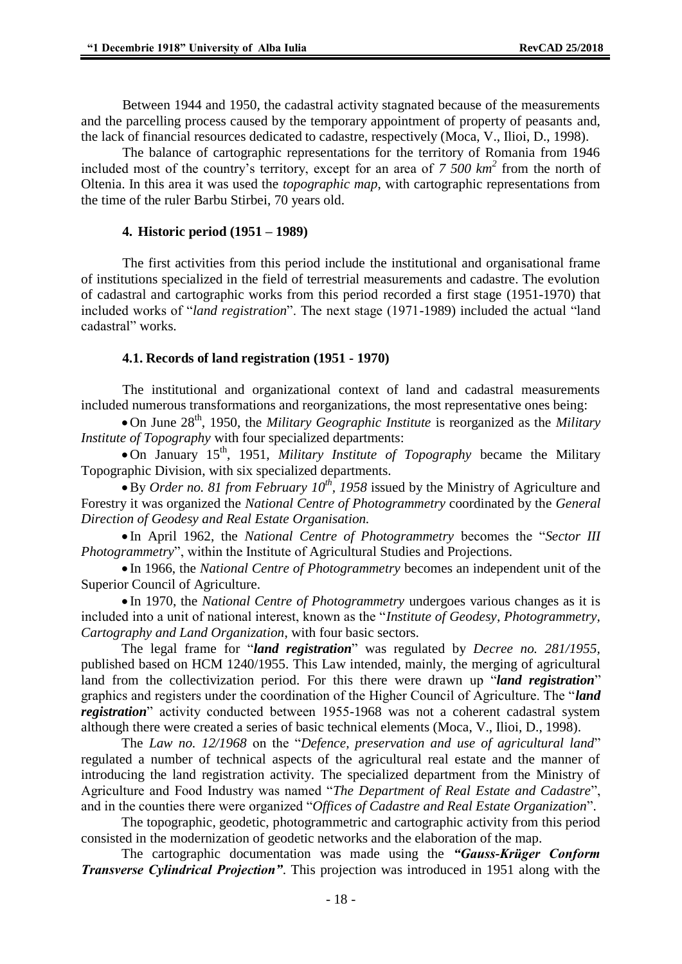Between 1944 and 1950, the cadastral activity stagnated because of the measurements and the parcelling process caused by the temporary appointment of property of peasants and, the lack of financial resources dedicated to cadastre, respectively (Moca, V., Ilioi, D., 1998).

The balance of cartographic representations for the territory of Romania from 1946 included most of the country's territory, except for an area of *7 500 km<sup>2</sup>* from the north of Oltenia. In this area it was used the *topographic map*, with cartographic representations from the time of the ruler Barbu Stirbei, 70 years old.

#### **4. Historic period (1951 – 1989)**

The first activities from this period include the institutional and organisational frame of institutions specialized in the field of terrestrial measurements and cadastre. The evolution of cadastral and cartographic works from this period recorded a first stage (1951-1970) that included works of "*land registration*". The next stage (1971-1989) included the actual "land cadastral" works.

### **4.1. Records of land registration (1951 - 1970)**

The institutional and organizational context of land and cadastral measurements included numerous transformations and reorganizations, the most representative ones being:

• On June 28<sup>th</sup>, 1950, the *Military Geographic Institute* is reorganized as the *Military Institute of Topography* with four specialized departments:

On January 15th, 1951, *Military Institute of Topography* became the Military Topographic Division, with six specialized departments.

• By *Order no. 81 from February 10<sup>th</sup>*, 1958 issued by the Ministry of Agriculture and Forestry it was organized the *National Centre of Photogrammetry* coordinated by the *General Direction of Geodesy and Real Estate Organisation.* 

 In April 1962, the *National Centre of Photogrammetry* becomes the "*Sector III Photogrammetry*", within the Institute of Agricultural Studies and Projections.

 In 1966, the *National Centre of Photogrammetry* becomes an independent unit of the Superior Council of Agriculture.

 In 1970, the *National Centre of Photogrammetry* undergoes various changes as it is included into a unit of national interest, known as the "*Institute of Geodesy, Photogrammetry, Cartography and Land Organization*, with four basic sectors.

The legal frame for "*land registration*" was regulated by *Decree no. 281/1955,* published based on HCM 1240/1955. This Law intended, mainly, the merging of agricultural land from the collectivization period. For this there were drawn up "*land registration*" graphics and registers under the coordination of the Higher Council of Agriculture. The "*land registration*" activity conducted between 1955-1968 was not a coherent cadastral system although there were created a series of basic technical elements (Moca, V., Ilioi, D., 1998).

The *Law no. 12/1968* on the "*Defence, preservation and use of agricultural land*" regulated a number of technical aspects of the agricultural real estate and the manner of introducing the land registration activity. The specialized department from the Ministry of Agriculture and Food Industry was named "*The Department of Real Estate and Cadastre*", and in the counties there were organized "*Offices of Cadastre and Real Estate Organization*".

The topographic, geodetic, photogrammetric and cartographic activity from this period consisted in the modernization of geodetic networks and the elaboration of the map.

The cartographic documentation was made using the *"Gauss-Krüger Conform Transverse Cylindrical Projection"*. This projection was introduced in 1951 along with the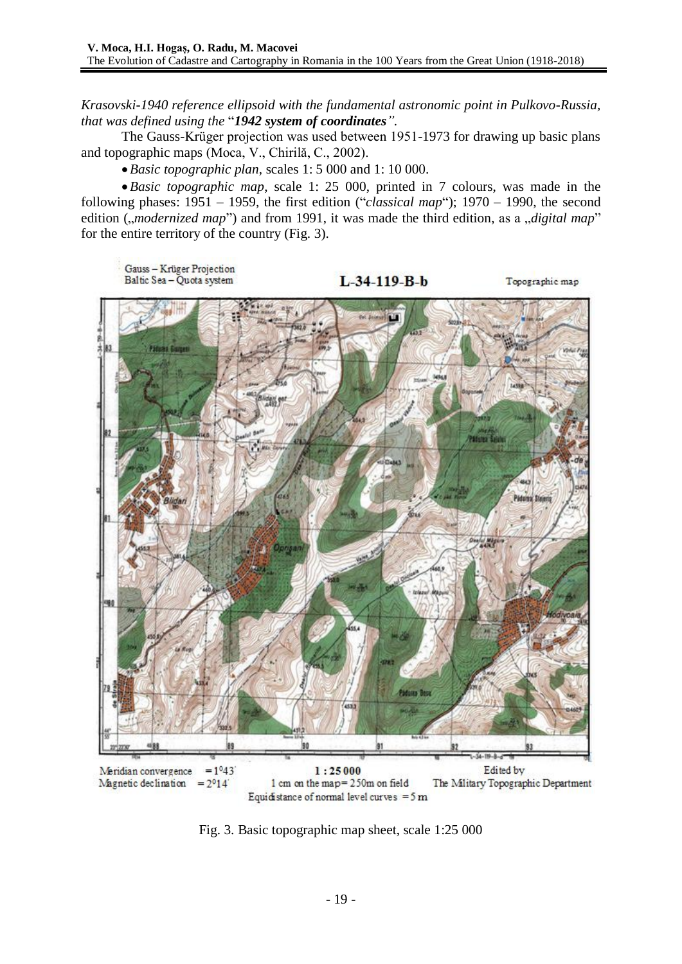*Krasovski-1940 reference ellipsoid with the fundamental astronomic point in Pulkovo-Russia, that was defined using the* "*1942 system of coordinates".*

The Gauss-Krüger projection was used between 1951-1973 for drawing up basic plans and topographic maps (Moca, V., Chirilă, C., 2002).

*Basic topographic plan,* scales 1: 5 000 and 1: 10 000.

*Basic topographic map*, scale 1: 25 000, printed in 7 colours, was made in the following phases: 1951 – 1959, the first edition ("*classical map*"); 1970 – 1990, the second edition (*"modernized map*") and from 1991, it was made the third edition, as a *"digital map*" for the entire territory of the country (Fig. 3).

Gauss - Krüger Projection Baltic Sea - Quota system



Fig. 3. Basic topographic map sheet, scale 1:25 000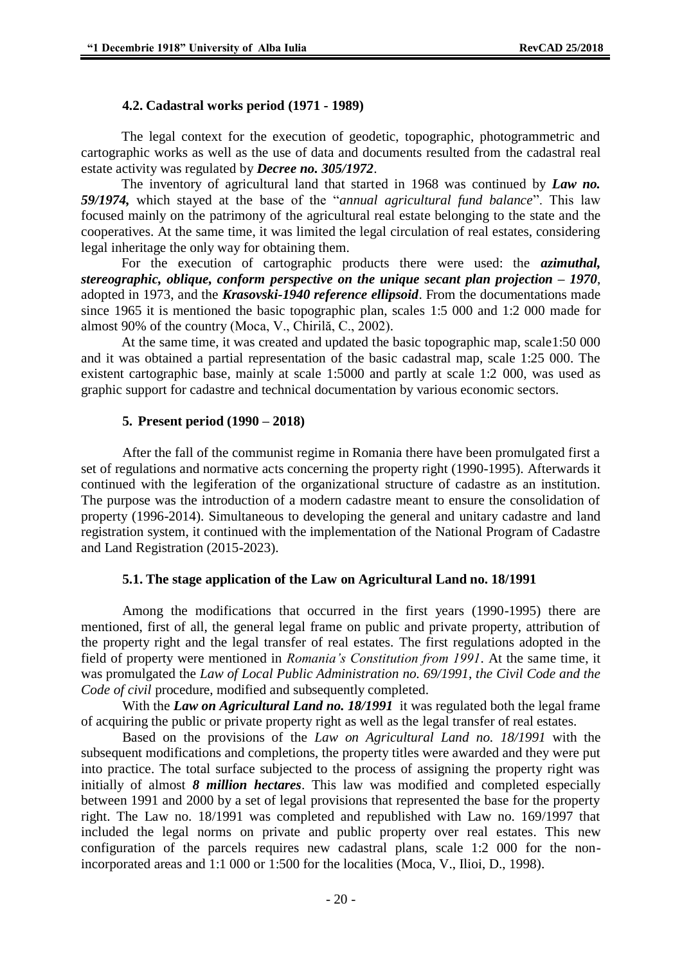#### **4.2. Cadastral works period (1971 - 1989)**

The legal context for the execution of geodetic, topographic, photogrammetric and cartographic works as well as the use of data and documents resulted from the cadastral real estate activity was regulated by *Decree no. 305/1972*.

The inventory of agricultural land that started in 1968 was continued by *Law no. 59/1974,* which stayed at the base of the "*annual agricultural fund balance*". This law focused mainly on the patrimony of the agricultural real estate belonging to the state and the cooperatives. At the same time, it was limited the legal circulation of real estates, considering legal inheritage the only way for obtaining them.

For the execution of cartographic products there were used: the *azimuthal, stereographic, oblique, conform perspective on the unique secant plan projection – 1970*, adopted in 1973, and the *Krasovski-1940 reference ellipsoid*. From the documentations made since 1965 it is mentioned the basic topographic plan, scales 1:5 000 and 1:2 000 made for almost 90% of the country (Moca, V., Chirilă, C., 2002).

At the same time, it was created and updated the basic topographic map, scale1:50 000 and it was obtained a partial representation of the basic cadastral map, scale 1:25 000. The existent cartographic base, mainly at scale 1:5000 and partly at scale 1:2 000, was used as graphic support for cadastre and technical documentation by various economic sectors.

### **5. Present period (1990 – 2018)**

After the fall of the communist regime in Romania there have been promulgated first a set of regulations and normative acts concerning the property right (1990-1995). Afterwards it continued with the legiferation of the organizational structure of cadastre as an institution. The purpose was the introduction of a modern cadastre meant to ensure the consolidation of property (1996-2014). Simultaneous to developing the general and unitary cadastre and land registration system, it continued with the implementation of the National Program of Cadastre and Land Registration (2015-2023).

#### **5.1. The stage application of the Law on Agricultural Land no. 18/1991**

Among the modifications that occurred in the first years (1990-1995) there are mentioned, first of all, the general legal frame on public and private property, attribution of the property right and the legal transfer of real estates. The first regulations adopted in the field of property were mentioned in *Romania's Constitution from 1991*. At the same time, it was promulgated the *Law of Local Public Administration no. 69/1991*, *the Civil Code and the Code of civil* procedure, modified and subsequently completed.

With the *Law on Agricultural Land no. 18/1991* it was regulated both the legal frame of acquiring the public or private property right as well as the legal transfer of real estates.

Based on the provisions of the *Law on Agricultural Land no. 18/1991* with the subsequent modifications and completions, the property titles were awarded and they were put into practice. The total surface subjected to the process of assigning the property right was initially of almost *8 million hectares*. This law was modified and completed especially between 1991 and 2000 by a set of legal provisions that represented the base for the property right. The Law no. 18/1991 was completed and republished with Law no. 169/1997 that included the legal norms on private and public property over real estates. This new configuration of the parcels requires new cadastral plans, scale 1:2 000 for the nonincorporated areas and 1:1 000 or 1:500 for the localities (Moca, V., Ilioi, D., 1998).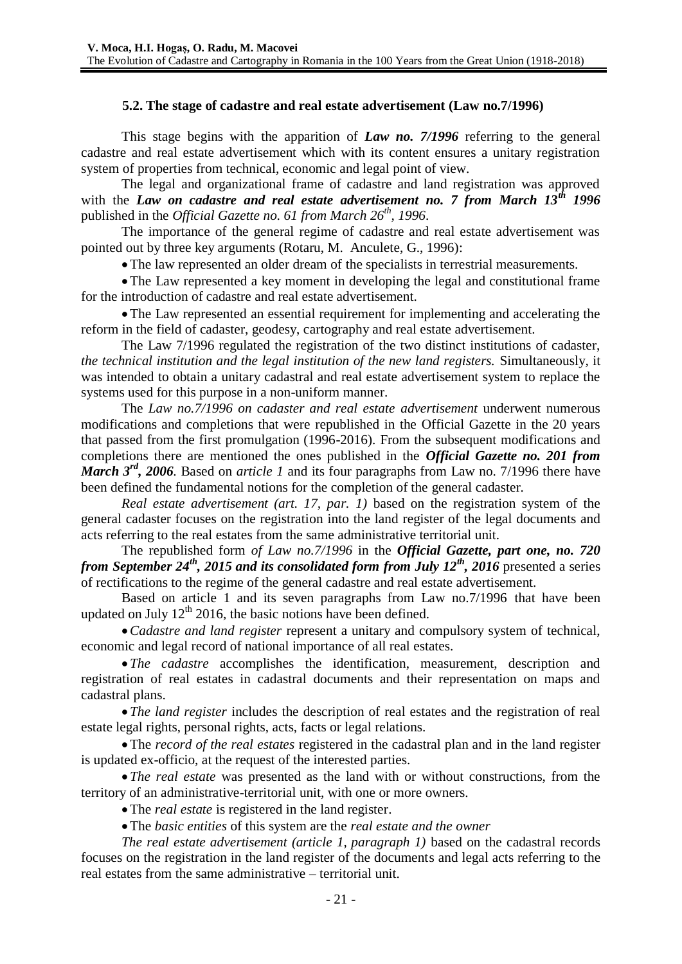### **5.2. The stage of cadastre and real estate advertisement (Law no.7/1996)**

This stage begins with the apparition of *Law no. 7/1996* referring to the general cadastre and real estate advertisement which with its content ensures a unitary registration system of properties from technical, economic and legal point of view.

The legal and organizational frame of cadastre and land registration was approved with the *Law on cadastre and real estate advertisement no. 7 from March 13th 1996* published in the *Official Gazette no. 61 from March 26th, 1996*.

The importance of the general regime of cadastre and real estate advertisement was pointed out by three key arguments (Rotaru, M. Anculete, G., 1996):

The law represented an older dream of the specialists in terrestrial measurements.

The Law represented a key moment in developing the legal and constitutional frame for the introduction of cadastre and real estate advertisement.

The Law represented an essential requirement for implementing and accelerating the reform in the field of cadaster, geodesy, cartography and real estate advertisement.

The Law 7/1996 regulated the registration of the two distinct institutions of cadaster, *the technical institution and the legal institution of the new land registers.* Simultaneously*,* it was intended to obtain a unitary cadastral and real estate advertisement system to replace the systems used for this purpose in a non-uniform manner.

The *Law no.7/1996 on cadaster and real estate advertisement* underwent numerous modifications and completions that were republished in the Official Gazette in the 20 years that passed from the first promulgation (1996-2016). From the subsequent modifications and completions there are mentioned the ones published in the *Official Gazette no. 201 from March* 3<sup>*rd*</sup>, 2006. Based on *article 1* and its four paragraphs from Law no. 7/1996 there have been defined the fundamental notions for the completion of the general cadaster*.*

*Real estate advertisement (art. 17, par. 1)* based on the registration system of the general cadaster focuses on the registration into the land register of the legal documents and acts referring to the real estates from the same administrative territorial unit.

The republished form *of Law no.7/1996* in the *Official Gazette, part one, no. 720 from September 24th, 2015 and its consolidated form from July 12th, 2016* presented a series of rectifications to the regime of the general cadastre and real estate advertisement.

Based on article 1 and its seven paragraphs from Law no.7/1996 that have been updated on July  $12<sup>th</sup> 2016$ , the basic notions have been defined.

*Cadastre and land register* represent a unitary and compulsory system of technical, economic and legal record of national importance of all real estates.

 *The cadastre* accomplishes the identification, measurement, description and registration of real estates in cadastral documents and their representation on maps and cadastral plans.

 *The land register* includes the description of real estates and the registration of real estate legal rights, personal rights, acts, facts or legal relations.

The *record of the real estates* registered in the cadastral plan and in the land register is updated ex-officio, at the request of the interested parties.

 *The real estate* was presented as the land with or without constructions, from the territory of an administrative-territorial unit, with one or more owners.

The *real estate* is registered in the land register.

The *basic entities* of this system are the *real estate and the owner*

*The real estate advertisement (article 1, paragraph 1)* based on the cadastral records focuses on the registration in the land register of the documents and legal acts referring to the real estates from the same administrative – territorial unit.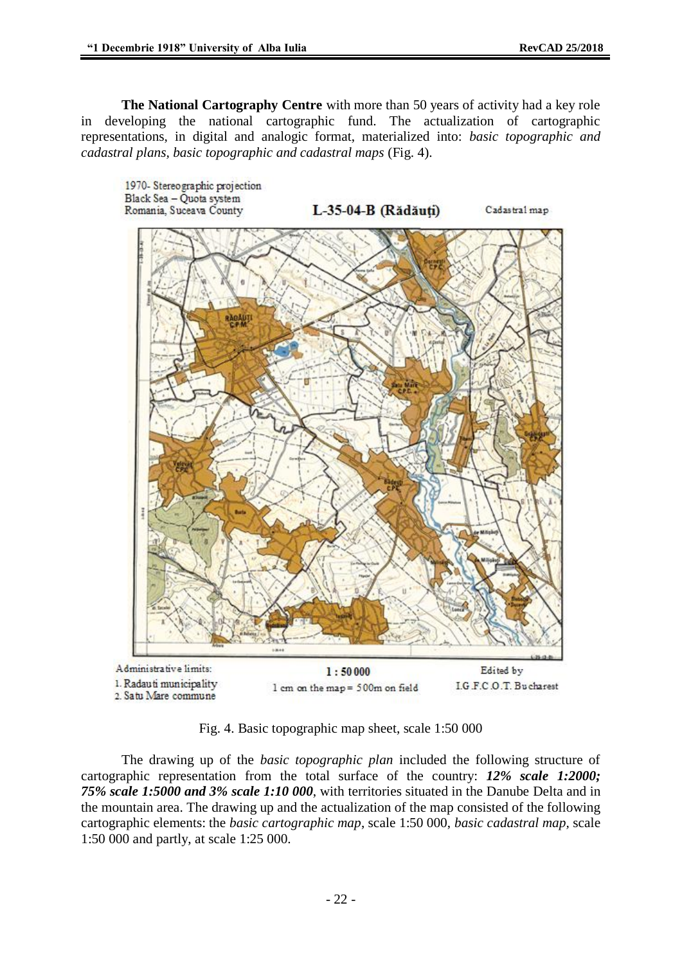**The National Cartography Centre** with more than 50 years of activity had a key role in developing the national cartographic fund. The actualization of cartographic representations, in digital and analogic format, materialized into: *basic topographic and cadastral plans, basic topographic and cadastral maps* (Fig. 4).



Fig. 4. Basic topographic map sheet, scale 1:50 000

The drawing up of the *basic topographic plan* included the following structure of cartographic representation from the total surface of the country: *12% scale 1:2000; 75% scale 1:5000 and 3% scale 1:10 000*, with territories situated in the Danube Delta and in the mountain area. The drawing up and the actualization of the map consisted of the following cartographic elements: the *basic cartographic map*, scale 1:50 000, *basic cadastral map,* scale 1:50 000 and partly, at scale 1:25 000.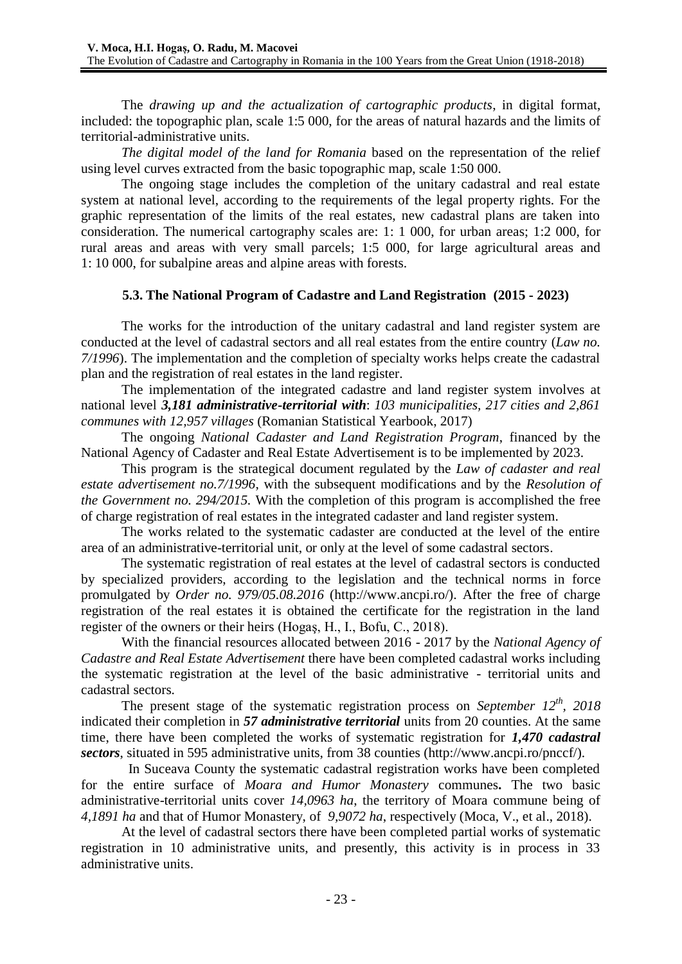The *drawing up and the actualization of cartographic products*, in digital format, included: the topographic plan, scale 1:5 000, for the areas of natural hazards and the limits of territorial-administrative units.

*The digital model of the land for Romania* based on the representation of the relief using level curves extracted from the basic topographic map, scale 1:50 000.

The ongoing stage includes the completion of the unitary cadastral and real estate system at national level, according to the requirements of the legal property rights. For the graphic representation of the limits of the real estates, new cadastral plans are taken into consideration. The numerical cartography scales are: 1: 1 000, for urban areas; 1:2 000, for rural areas and areas with very small parcels; 1:5 000, for large agricultural areas and 1: 10 000, for subalpine areas and alpine areas with forests.

## **5.3. The National Program of Cadastre and Land Registration (2015 - 2023)**

The works for the introduction of the unitary cadastral and land register system are conducted at the level of cadastral sectors and all real estates from the entire country (*Law no. 7/1996*). The implementation and the completion of specialty works helps create the cadastral plan and the registration of real estates in the land register.

The implementation of the integrated cadastre and land register system involves at national level *3,181 administrative-territorial with*: *103 municipalities, 217 cities and 2,861 communes with 12,957 villages* (Romanian Statistical Yearbook, 2017)

The ongoing *National Cadaster and Land Registration Program*, financed by the National Agency of Cadaster and Real Estate Advertisement is to be implemented by 2023.

This program is the strategical document regulated by the *Law of cadaster and real estate advertisement no.7/1996*, with the subsequent modifications and by the *Resolution of the Government no. 294/2015.* With the completion of this program is accomplished the free of charge registration of real estates in the integrated cadaster and land register system.

The works related to the systematic cadaster are conducted at the level of the entire area of an administrative-territorial unit, or only at the level of some cadastral sectors.

The systematic registration of real estates at the level of cadastral sectors is conducted by specialized providers, according to the legislation and the technical norms in force promulgated by *Order no. 979/05.08.2016* [\(http://www.ancpi.ro/\)](http://www.ancpi.ro/). After the free of charge registration of the real estates it is obtained the certificate for the registration in the land register of the owners or their heirs (Hogaş, H., I., Bofu, C., 2018).

With the financial resources allocated between 2016 - 2017 by the *National Agency of Cadastre and Real Estate Advertisement* there have been completed cadastral works including the systematic registration at the level of the basic administrative - territorial units and cadastral sectors.

The present stage of the systematic registration process on *September 12th, 2018* indicated their completion in *57 administrative territorial* units from 20 counties. At the same time, there have been completed the works of systematic registration for *1,470 cadastral sectors*, situated in 595 administrative units, from 38 counties [\(http://www.ancpi.ro/pnccf/\)](http://www.ancpi.ro/pnccf/).

In Suceava County the systematic cadastral registration works have been completed for the entire surface of *Moara and Humor Monastery* communes**.** The two basic administrative-territorial units cover *14,0963 ha*, the territory of Moara commune being of *4,1891 ha* and that of Humor Monastery, of *9,9072 ha*, respectively (Moca, V., et al., 2018).

At the level of cadastral sectors there have been completed partial works of systematic registration in 10 administrative units, and presently, this activity is in process in 33 administrative units.